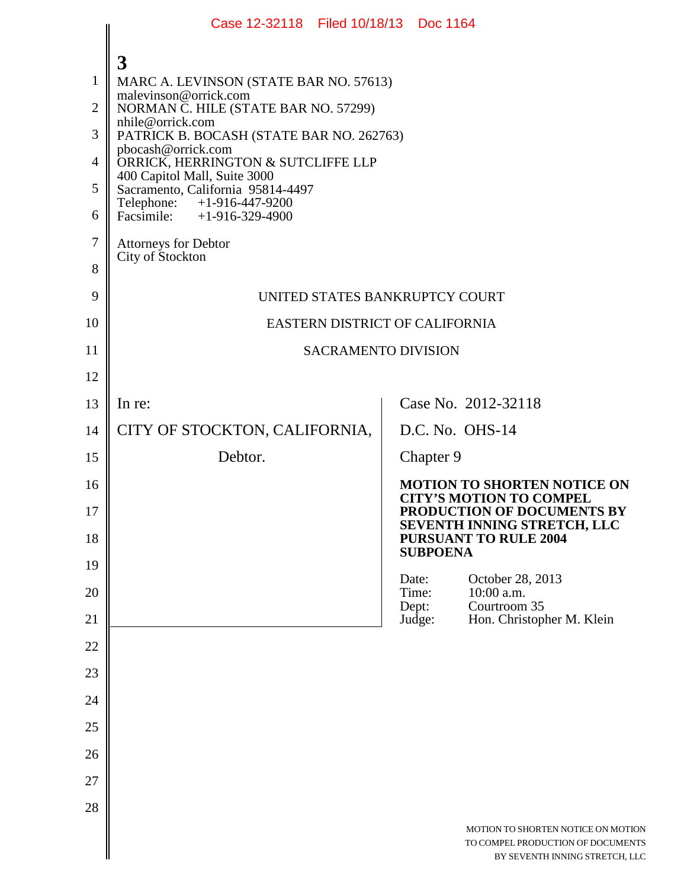|                                                                           | Case 12-32118 Filed 10/18/13 Doc 1164                                                                                                                                                                                                                                                                                                                                                                                          |                |                                                 |                                                                                                                                   |  |
|---------------------------------------------------------------------------|--------------------------------------------------------------------------------------------------------------------------------------------------------------------------------------------------------------------------------------------------------------------------------------------------------------------------------------------------------------------------------------------------------------------------------|----------------|-------------------------------------------------|-----------------------------------------------------------------------------------------------------------------------------------|--|
| $\mathbf{1}$<br>$\overline{2}$<br>3<br>$\overline{4}$<br>5<br>6<br>$\tau$ | 3<br>MARC A. LEVINSON (STATE BAR NO. 57613)<br>malevinson@orrick.com<br>NORMAN C. HILE (STATE BAR NO. 57299)<br>nhile@orrick.com<br>PATRICK B. BOCASH (STATE BAR NO. 262763)<br>pbocash@orrick.com<br>ORRICK, HERRINGTON & SUTCLIFFE LLP<br>400 Capitol Mall, Suite 3000<br>Sacramento, California 95814-4497<br>Telephone: +1-916-447-9200<br>Facsimile: $+1-916-329-4900$<br><b>Attorneys for Debtor</b><br>City of Stockton |                |                                                 |                                                                                                                                   |  |
| 8<br>9                                                                    | UNITED STATES BANKRUPTCY COURT                                                                                                                                                                                                                                                                                                                                                                                                 |                |                                                 |                                                                                                                                   |  |
| 10                                                                        | EASTERN DISTRICT OF CALIFORNIA                                                                                                                                                                                                                                                                                                                                                                                                 |                |                                                 |                                                                                                                                   |  |
| 11                                                                        | <b>SACRAMENTO DIVISION</b>                                                                                                                                                                                                                                                                                                                                                                                                     |                |                                                 |                                                                                                                                   |  |
| 12                                                                        |                                                                                                                                                                                                                                                                                                                                                                                                                                |                |                                                 |                                                                                                                                   |  |
| 13                                                                        | In re:                                                                                                                                                                                                                                                                                                                                                                                                                         |                |                                                 | Case No. 2012-32118                                                                                                               |  |
| 14                                                                        | CITY OF STOCKTON, CALIFORNIA,                                                                                                                                                                                                                                                                                                                                                                                                  |                |                                                 | D.C. No. OHS-14                                                                                                                   |  |
| 15                                                                        | Debtor.                                                                                                                                                                                                                                                                                                                                                                                                                        |                | Chapter 9                                       |                                                                                                                                   |  |
| 16<br>17                                                                  |                                                                                                                                                                                                                                                                                                                                                                                                                                |                |                                                 | <b>MOTION TO SHORTEN NOTICE ON</b><br><b>CITY'S MOTION TO COMPEL</b><br>PRODUCTION OF DOCUMENTS BY<br>SEVENTH INNING STRETCH, LLC |  |
| 18                                                                        |                                                                                                                                                                                                                                                                                                                                                                                                                                |                | <b>PURSUANT TO RULE 2004</b><br><b>SUBPOENA</b> |                                                                                                                                   |  |
| 19<br>20                                                                  |                                                                                                                                                                                                                                                                                                                                                                                                                                | Date:<br>Time: |                                                 | October 28, 2013<br>10:00 a.m.                                                                                                    |  |
| 21                                                                        |                                                                                                                                                                                                                                                                                                                                                                                                                                | Dept:          | Judge:                                          | Courtroom 35<br>Hon. Christopher M. Klein                                                                                         |  |
| 22                                                                        |                                                                                                                                                                                                                                                                                                                                                                                                                                |                |                                                 |                                                                                                                                   |  |
| 23                                                                        |                                                                                                                                                                                                                                                                                                                                                                                                                                |                |                                                 |                                                                                                                                   |  |
| 24                                                                        |                                                                                                                                                                                                                                                                                                                                                                                                                                |                |                                                 |                                                                                                                                   |  |
| 25                                                                        |                                                                                                                                                                                                                                                                                                                                                                                                                                |                |                                                 |                                                                                                                                   |  |
| 26                                                                        |                                                                                                                                                                                                                                                                                                                                                                                                                                |                |                                                 |                                                                                                                                   |  |
| 27                                                                        |                                                                                                                                                                                                                                                                                                                                                                                                                                |                |                                                 |                                                                                                                                   |  |
| 28                                                                        |                                                                                                                                                                                                                                                                                                                                                                                                                                |                |                                                 |                                                                                                                                   |  |
|                                                                           |                                                                                                                                                                                                                                                                                                                                                                                                                                |                |                                                 | MOTION TO SHORTEN NOTICE ON MOTION<br>TO COMPEL PRODUCTION OF DOCUMENTS<br>BY SEVENTH INNING STRETCH, LLC                         |  |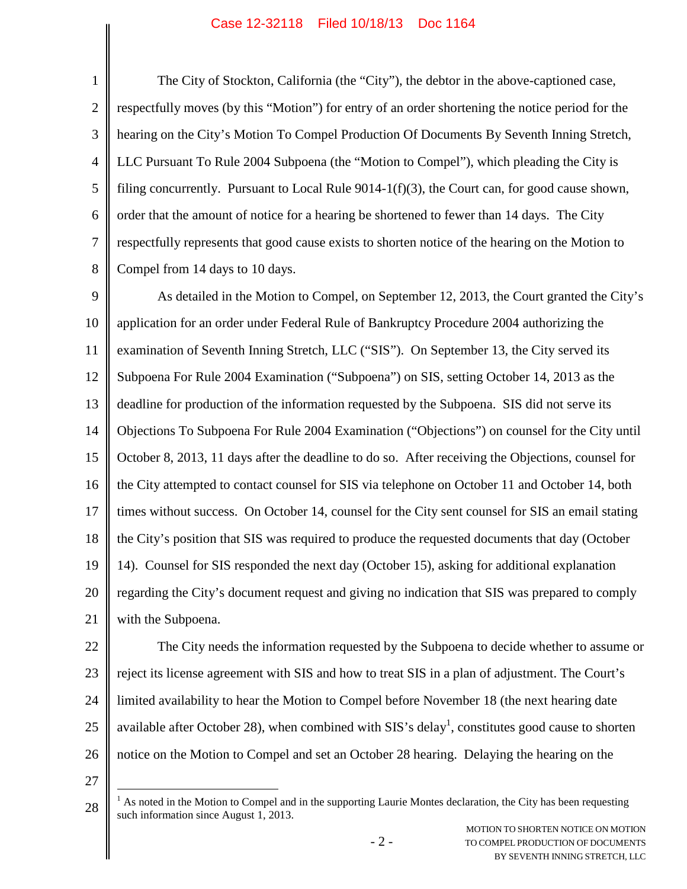## Case 12-32118 Filed 10/18/13 Doc 1164

1 2 3 4 5 6 7 8 The City of Stockton, California (the "City"), the debtor in the above-captioned case, respectfully moves (by this "Motion") for entry of an order shortening the notice period for the hearing on the City's Motion To Compel Production Of Documents By Seventh Inning Stretch, LLC Pursuant To Rule 2004 Subpoena (the "Motion to Compel"), which pleading the City is filing concurrently. Pursuant to Local Rule  $9014-1(f)(3)$ , the Court can, for good cause shown, order that the amount of notice for a hearing be shortened to fewer than 14 days. The City respectfully represents that good cause exists to shorten notice of the hearing on the Motion to Compel from 14 days to 10 days.

9 10 11 12 13 14 15 16 17 18 19 20 21 As detailed in the Motion to Compel, on September 12, 2013, the Court granted the City's application for an order under Federal Rule of Bankruptcy Procedure 2004 authorizing the examination of Seventh Inning Stretch, LLC ("SIS"). On September 13, the City served its Subpoena For Rule 2004 Examination ("Subpoena") on SIS, setting October 14, 2013 as the deadline for production of the information requested by the Subpoena. SIS did not serve its Objections To Subpoena For Rule 2004 Examination ("Objections") on counsel for the City until October 8, 2013, 11 days after the deadline to do so. After receiving the Objections, counsel for the City attempted to contact counsel for SIS via telephone on October 11 and October 14, both times without success. On October 14, counsel for the City sent counsel for SIS an email stating the City's position that SIS was required to produce the requested documents that day (October 14). Counsel for SIS responded the next day (October 15), asking for additional explanation regarding the City's document request and giving no indication that SIS was prepared to comply with the Subpoena.

22 23 24 25 26 The City needs the information requested by the Subpoena to decide whether to assume or reject its license agreement with SIS and how to treat SIS in a plan of adjustment. The Court's limited availability to hear the Motion to Compel before November 18 (the next hearing date available after October 28), when combined with SIS's delay<sup>1</sup>, constitutes good cause to shorten notice on the Motion to Compel and set an October 28 hearing. Delaying the hearing on the

27

<sup>28</sup>  $<sup>1</sup>$  As noted in the Motion to Compel and in the supporting Laurie Montes declaration, the City has been requesting</sup> such information since August 1, 2013.